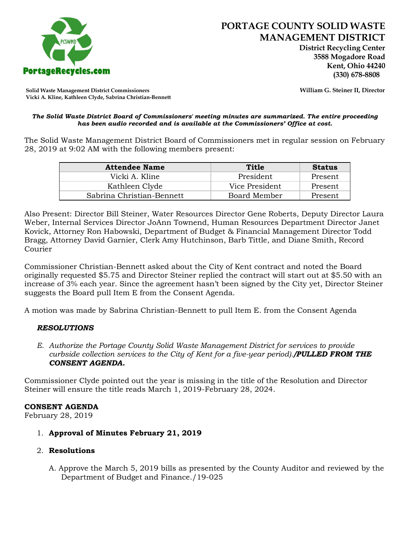

 **District Recycling Center 3588 Mogadore Road Kent, Ohio 44240**

**Solid Waste Management District Commissioners William G. Steiner II, Director Vicki A. Kline, Kathleen Clyde, Sabrina Christian-Bennett** 

#### *The Solid Waste District Board of Commissioners' meeting minutes are summarized. The entire proceeding has been audio recorded and is available at the Commissioners' Office at cost.*

The Solid Waste Management District Board of Commissioners met in regular session on February 28, 2019 at 9:02 AM with the following members present:

| <b>Attendee Name</b>      | Title          | <b>Status</b> |
|---------------------------|----------------|---------------|
| Vicki A. Kline            | President      | Present       |
| Kathleen Clyde            | Vice President | Present       |
| Sabrina Christian-Bennett | Board Member   | Present       |

Also Present: Director Bill Steiner, Water Resources Director Gene Roberts, Deputy Director Laura Weber, Internal Services Director JoAnn Townend, Human Resources Department Director Janet Kovick, Attorney Ron Habowski, Department of Budget & Financial Management Director Todd Bragg, Attorney David Garnier, Clerk Amy Hutchinson, Barb Tittle, and Diane Smith, Record Courier

Commissioner Christian-Bennett asked about the City of Kent contract and noted the Board originally requested \$5.75 and Director Steiner replied the contract will start out at \$5.50 with an increase of 3% each year. Since the agreement hasn't been signed by the City yet, Director Steiner suggests the Board pull Item E from the Consent Agenda.

A motion was made by Sabrina Christian-Bennett to pull Item E. from the Consent Agenda

# *RESOLUTIONS*

*E. Authorize the Portage County Solid Waste Management District for services to provide curbside collection services to the City of Kent for a five-year period)./PULLED FROM THE CONSENT AGENDA.*

Commissioner Clyde pointed out the year is missing in the title of the Resolution and Director Steiner will ensure the title reads March 1, 2019-February 28, 2024.

# **CONSENT AGENDA**

February 28, 2019

- 1. **Approval of Minutes February 21, 2019**
- 2. **Resolutions**
	- A. Approve the March 5, 2019 bills as presented by the County Auditor and reviewed by the Department of Budget and Finance./19-025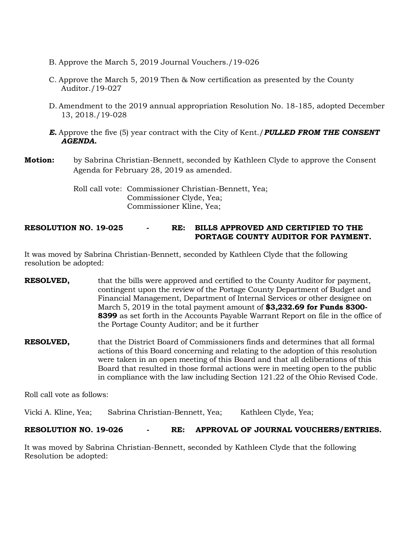- B. Approve the March 5, 2019 Journal Vouchers./19-026
- C. Approve the March 5, 2019 Then & Now certification as presented by the County Auditor./19-027
- D. Amendment to the 2019 annual appropriation Resolution No. 18-185, adopted December 13, 2018./19-028
- *E.* Approve the five (5) year contract with the City of Kent./*PULLED FROM THE CONSENT AGENDA.*
- **Motion:** by Sabrina Christian-Bennett, seconded by Kathleen Clyde to approve the Consent Agenda for February 28, 2019 as amended.

Roll call vote: Commissioner Christian-Bennett, Yea; Commissioner Clyde, Yea; Commissioner Kline, Yea;

# **RESOLUTION NO. 19-025 - RE: BILLS APPROVED AND CERTIFIED TO THE PORTAGE COUNTY AUDITOR FOR PAYMENT.**

It was moved by Sabrina Christian-Bennett, seconded by Kathleen Clyde that the following resolution be adopted:

- **RESOLVED,** that the bills were approved and certified to the County Auditor for payment, contingent upon the review of the Portage County Department of Budget and Financial Management, Department of Internal Services or other designee on March 5, 2019 in the total payment amount of **\$3,232.69 for Funds 8300- 8399** as set forth in the Accounts Payable Warrant Report on file in the office of the Portage County Auditor; and be it further
- **RESOLVED,** that the District Board of Commissioners finds and determines that all formal actions of this Board concerning and relating to the adoption of this resolution were taken in an open meeting of this Board and that all deliberations of this Board that resulted in those formal actions were in meeting open to the public in compliance with the law including Section 121.22 of the Ohio Revised Code.

Roll call vote as follows:

Vicki A. Kline, Yea; Sabrina Christian-Bennett, Yea; Kathleen Clyde, Yea;

#### **RESOLUTION NO. 19-026 - RE: APPROVAL OF JOURNAL VOUCHERS/ENTRIES.**

It was moved by Sabrina Christian-Bennett, seconded by Kathleen Clyde that the following Resolution be adopted: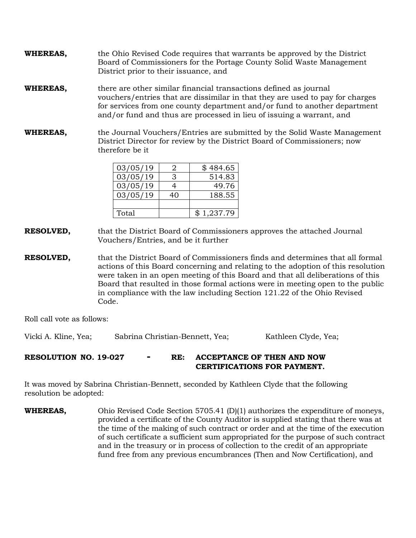- **WHEREAS,** the Ohio Revised Code requires that warrants be approved by the District Board of Commissioners for the Portage County Solid Waste Management District prior to their issuance, and
- **WHEREAS,** there are other similar financial transactions defined as journal vouchers/entries that are dissimilar in that they are used to pay for charges for services from one county department and/or fund to another department and/or fund and thus are processed in lieu of issuing a warrant, and
- **WHEREAS,** the Journal Vouchers/Entries are submitted by the Solid Waste Management District Director for review by the District Board of Commissioners; now therefore be it

| 03/05/19 |   | \$484.65   |
|----------|---|------------|
| 03/05/19 | З | 514.83     |
| 03/05/19 |   | 49.76      |
| 03/05/19 |   | 188.55     |
|          |   |            |
| Total    |   | \$1,237.79 |

- **RESOLVED,** that the District Board of Commissioners approves the attached Journal Vouchers/Entries, and be it further
- **RESOLVED,** that the District Board of Commissioners finds and determines that all formal actions of this Board concerning and relating to the adoption of this resolution were taken in an open meeting of this Board and that all deliberations of this Board that resulted in those formal actions were in meeting open to the public in compliance with the law including Section 121.22 of the Ohio Revised Code.

Roll call vote as follows:

Vicki A. Kline, Yea; Sabrina Christian-Bennett, Yea; Kathleen Clyde, Yea;

# **RESOLUTION NO. 19-027 - RE: ACCEPTANCE OF THEN AND NOW CERTIFICATIONS FOR PAYMENT.**

It was moved by Sabrina Christian-Bennett, seconded by Kathleen Clyde that the following resolution be adopted:

**WHEREAS,** Ohio Revised Code Section 5705.41 (D)(1) authorizes the expenditure of moneys, provided a certificate of the County Auditor is supplied stating that there was at the time of the making of such contract or order and at the time of the execution of such certificate a sufficient sum appropriated for the purpose of such contract and in the treasury or in process of collection to the credit of an appropriate fund free from any previous encumbrances (Then and Now Certification), and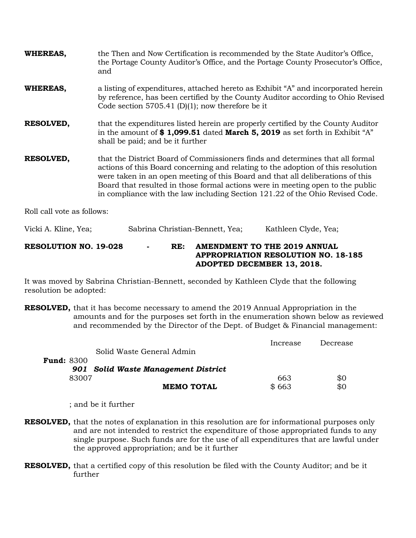| WHEREAS,                     | the Then and Now Certification is recommended by the State Auditor's Office,<br>the Portage County Auditor's Office, and the Portage County Prosecutor's Office,<br>and                                                                                                                                                                                                                                                |  |
|------------------------------|------------------------------------------------------------------------------------------------------------------------------------------------------------------------------------------------------------------------------------------------------------------------------------------------------------------------------------------------------------------------------------------------------------------------|--|
| WHEREAS,                     | a listing of expenditures, attached hereto as Exhibit "A" and incorporated herein<br>by reference, has been certified by the County Auditor according to Ohio Revised<br>Code section 5705.41 (D)(1); now therefore be it                                                                                                                                                                                              |  |
| <b>RESOLVED,</b>             | that the expenditures listed herein are properly certified by the County Auditor<br>in the amount of \$1,099.51 dated March 5, 2019 as set forth in Exhibit "A"<br>shall be paid; and be it further                                                                                                                                                                                                                    |  |
| <b>RESOLVED,</b>             | that the District Board of Commissioners finds and determines that all formal<br>actions of this Board concerning and relating to the adoption of this resolution<br>were taken in an open meeting of this Board and that all deliberations of this<br>Board that resulted in those formal actions were in meeting open to the public<br>in compliance with the law including Section 121.22 of the Ohio Revised Code. |  |
| Roll call vote as follows:   |                                                                                                                                                                                                                                                                                                                                                                                                                        |  |
| Vicki A. Kline, Yea;         | Sabrina Christian-Bennett, Yea;<br>Kathleen Clyde, Yea;                                                                                                                                                                                                                                                                                                                                                                |  |
| <b>RESOLUTION NO. 19-028</b> | <b>AMENDMENT TO THE 2019 ANNUAL</b><br>RE:<br><b>APPROPRIATION RESOLUTION NO. 18-185</b><br>ADOPTED DECEMBER 13, 2018.                                                                                                                                                                                                                                                                                                 |  |

It was moved by Sabrina Christian-Bennett, seconded by Kathleen Clyde that the following resolution be adopted:

**RESOLVED,** that it has become necessary to amend the 2019 Annual Appropriation in the amounts and for the purposes set forth in the enumeration shown below as reviewed and recommended by the Director of the Dept. of Budget & Financial management:

|                   |                                     | Increase | Decrease |
|-------------------|-------------------------------------|----------|----------|
|                   | Solid Waste General Admin           |          |          |
| <b>Fund: 8300</b> |                                     |          |          |
|                   | 901 Solid Waste Management District |          |          |
| 83007             |                                     | 663      | \$0      |
|                   | <b>MEMO TOTAL</b>                   | \$663    | \$0      |

; and be it further

- **RESOLVED,** that the notes of explanation in this resolution are for informational purposes only and are not intended to restrict the expenditure of those appropriated funds to any single purpose. Such funds are for the use of all expenditures that are lawful under the approved appropriation; and be it further
- **RESOLVED,** that a certified copy of this resolution be filed with the County Auditor; and be it further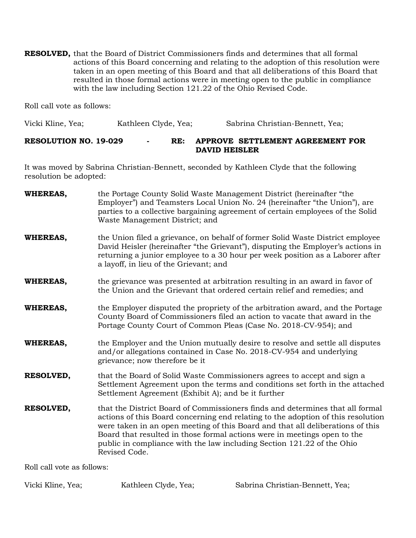**RESOLVED,** that the Board of District Commissioners finds and determines that all formal actions of this Board concerning and relating to the adoption of this resolution were taken in an open meeting of this Board and that all deliberations of this Board that resulted in those formal actions were in meeting open to the public in compliance with the law including Section 121.22 of the Ohio Revised Code.

Roll call vote as follows:

Vicki Kline, Yea; Kathleen Clyde, Yea; Sabrina Christian-Bennett, Yea;

## **RESOLUTION NO. 19-029 - RE: APPROVE SETTLEMENT AGREEMENT FOR DAVID HEISLER**

It was moved by Sabrina Christian-Bennett, seconded by Kathleen Clyde that the following resolution be adopted:

| <b>WHEREAS,</b>  | the Portage County Solid Waste Management District (hereinafter "the<br>Employer") and Teamsters Local Union No. 24 (hereinafter "the Union"), are<br>parties to a collective bargaining agreement of certain employees of the Solid<br>Waste Management District; and                                                                                                                                                     |
|------------------|----------------------------------------------------------------------------------------------------------------------------------------------------------------------------------------------------------------------------------------------------------------------------------------------------------------------------------------------------------------------------------------------------------------------------|
| WHEREAS,         | the Union filed a grievance, on behalf of former Solid Waste District employee<br>David Heisler (hereinafter "the Grievant"), disputing the Employer's actions in<br>returning a junior employee to a 30 hour per week position as a Laborer after<br>a layoff, in lieu of the Grievant; and                                                                                                                               |
| WHEREAS,         | the grievance was presented at arbitration resulting in an award in favor of<br>the Union and the Grievant that ordered certain relief and remedies; and                                                                                                                                                                                                                                                                   |
| <b>WHEREAS,</b>  | the Employer disputed the propriety of the arbitration award, and the Portage<br>County Board of Commissioners filed an action to vacate that award in the<br>Portage County Court of Common Pleas (Case No. 2018-CV-954); and                                                                                                                                                                                             |
| <b>WHEREAS,</b>  | the Employer and the Union mutually desire to resolve and settle all disputes<br>and/or allegations contained in Case No. 2018-CV-954 and underlying<br>grievance; now therefore be it                                                                                                                                                                                                                                     |
| RESOLVED,        | that the Board of Solid Waste Commissioners agrees to accept and sign a<br>Settlement Agreement upon the terms and conditions set forth in the attached<br>Settlement Agreement (Exhibit A); and be it further                                                                                                                                                                                                             |
| <b>RESOLVED,</b> | that the District Board of Commissioners finds and determines that all formal<br>actions of this Board concerning end relating to the adoption of this resolution<br>were taken in an open meeting of this Board and that all deliberations of this<br>Board that resulted in those formal actions were in meetings open to the<br>public in compliance with the law including Section 121.22 of the Ohio<br>Revised Code. |

Roll call vote as follows:

Vicki Kline, Yea; Kathleen Clyde, Yea; Sabrina Christian-Bennett, Yea;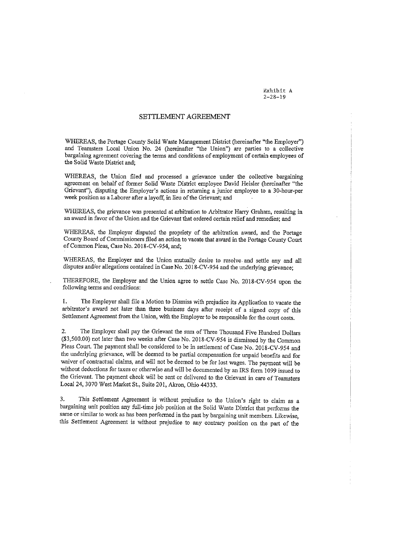Exhibit A  $2 - 28 - 19$ 

#### SETTLEMENT AGREEMENT

WHEREAS, the Portage County Solid Waste Management District (hereinafter "the Employer") and Teamsters Local Union No. 24 (hereinafter "the Union") are parties to a collective bargaining agreement covering the terms and conditions of employment of certain employees of the Solid Waste District and;

WHEREAS, the Union filed and processed a grievance under the collective bargaining agreement on behalf of former Solid Waste District employee David Heisler (hereinafter "the Grievant"), disputing the Employer's actions in returning a junior employee to a 30-hour-per week position as a Laborer after a layoff, in lieu of the Grievant; and

WHEREAS, the grievance was presented at arbitration to Arbitrator Harry Graham, resulting in an award in favor of the Union and the Grievant that ordered certain relief and remedies; and

WHEREAS, the Employer disputed the propriety of the arbitration award, and the Portage County Board of Commissioners filed an action to vacate that award in the Portage County Court of Common Pleas, Case No. 2018-CV-954, and;

WHEREAS, the Employer and the Union mutually desire to resolve and settle any and all disputes and/or allegations contained in Case No. 2018-CV-954 and the underlying grievance:

THEREFORE, the Employer and the Union agree to settle Case No. 2018-CV-954 upon the following terms and conditions:

The Employer shall file a Motion to Dismiss with prejudice its Application to vacate the  $\mathbf{1}$ . arbitrator's award not later than three business days after receipt of a signed copy of this Settlement Agreement from the Union, with the Employer to be responsible for the court costs.

The Employer shall pay the Grievant the sum of Three Thousand Five Hundred Dollars 2. (\$3,500.00) not later than two weeks after Case No. 2018-CV-954 is dismissed by the Common Pleas Court. The payment shall be considered to be in settlement of Case No. 2018-CV-954 and the underlying grievance, will be deemed to be partial compensation for unpaid benefits and for waiver of contractual claims, and will not be deemed to be for lost wages. The payment will be without deductions for taxes or otherwise and will be documented by an IRS form 1099 issued to the Grievant. The payment check will be sent or delivered to the Grievant in care of Teamsters Local 24, 3070 West Market St., Suite 201, Akron, Ohio 44333.

3. This Settlement Agreement is without prejudice to the Union's right to claim as a bargaining unit position any full-time job position at the Solid Waste District that performs the same or similar to work as has been performed in the past by bargaining unit members. Likewise, this Settlement Agreement is without prejudice to any contrary position on the part of the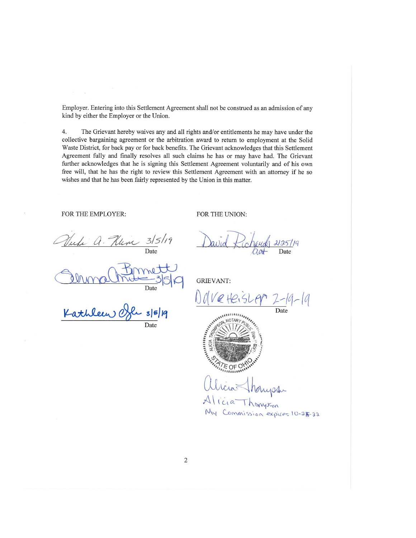Employer. Entering into this Settlement Agreement shall not be construed as an admission of any kind by either the Employer or the Union.

4. The Grievant hereby waives any and all rights and/or entitlements he may have under the collective bargaining agreement or the arbitration award to return to employment at the Solid Waste District, for back pay or for back benefits. The Grievant acknowledges that this Settlement Agreement fully and finally resolves all such claims he has or may have had. The Grievant further acknowledges that he is signing this Settlement Agreement voluntarily and of his own free will, that he has the right to review this Settlement Agreement with an attorney if he so wishes and that he has been fairly represented by the Union in this matter.

FOR THE EMPLOYER:

FOR THE UNION:

 $a.$  Henr  $3/5/19$ 

**GRIEVANT:** 

-19-19

2125/19

Kathleen C  $3|5|19$ Date

 $\begin{array}{c} \text{A11111111}_{\text{A14}} \\ \text{A21111}_{\text{A31}} \text{A4} \\ \text{A5111}_{\text{A41}} \text{A521}_{\text{A53}} \\ \text{A6111}_{\text{A61}} \text{A611}_{\text{A71}} \\ \text{A711}_{\text{A71}} \text{A811}_{\text{A81}} \end{array} \quad \ \ \, \big\vert \quad \ \ \, \big\vert$ **NOTARL** 

ria Thompson My Commission expires 10-25-22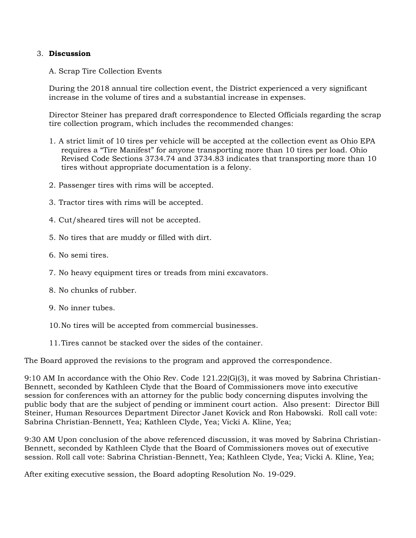## 3. **Discussion**

A. Scrap Tire Collection Events

During the 2018 annual tire collection event, the District experienced a very significant increase in the volume of tires and a substantial increase in expenses.

Director Steiner has prepared draft correspondence to Elected Officials regarding the scrap tire collection program, which includes the recommended changes:

- 1. A strict limit of 10 tires per vehicle will be accepted at the collection event as Ohio EPA requires a "Tire Manifest" for anyone transporting more than 10 tires per load. Ohio Revised Code Sections 3734.74 and 3734.83 indicates that transporting more than 10 tires without appropriate documentation is a felony.
- 2. Passenger tires with rims will be accepted.
- 3. Tractor tires with rims will be accepted.
- 4. Cut/sheared tires will not be accepted.
- 5. No tires that are muddy or filled with dirt.
- 6. No semi tires.
- 7. No heavy equipment tires or treads from mini excavators.
- 8. No chunks of rubber.
- 9. No inner tubes.
- 10.No tires will be accepted from commercial businesses.
- 11.Tires cannot be stacked over the sides of the container.

The Board approved the revisions to the program and approved the correspondence.

9:10 AM In accordance with the Ohio Rev. Code 121.22(G)(3), it was moved by Sabrina Christian-Bennett, seconded by Kathleen Clyde that the Board of Commissioners move into executive session for conferences with an attorney for the public body concerning disputes involving the public body that are the subject of pending or imminent court action. Also present: Director Bill Steiner, Human Resources Department Director Janet Kovick and Ron Habowski. Roll call vote: Sabrina Christian-Bennett, Yea; Kathleen Clyde, Yea; Vicki A. Kline, Yea;

9:30 AM Upon conclusion of the above referenced discussion, it was moved by Sabrina Christian-Bennett, seconded by Kathleen Clyde that the Board of Commissioners moves out of executive session. Roll call vote: Sabrina Christian-Bennett, Yea; Kathleen Clyde, Yea; Vicki A. Kline, Yea;

After exiting executive session, the Board adopting Resolution No. 19-029.